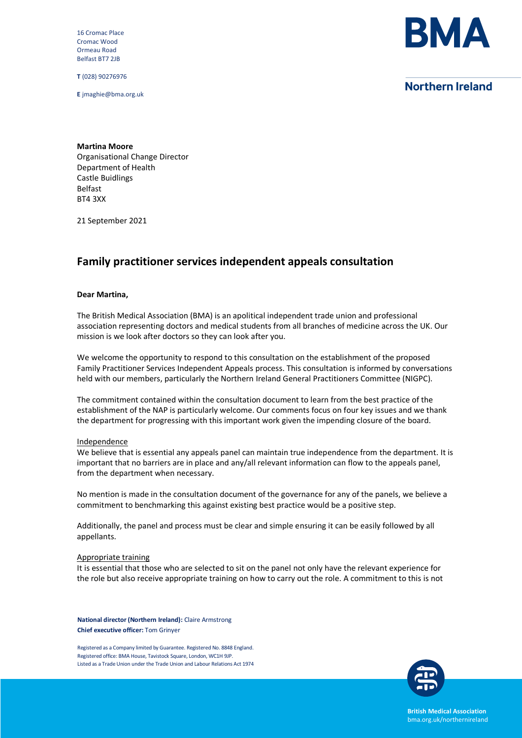16 Cromac Place Cromac Wood Ormeau Road Belfast BT7 2JB

**T** (028) 90276976

**E** jmaghie@bma.org.uk



# **Northern Ireland**

**Martina Moore** Organisational Change Director Department of Health Castle Buidlings Belfast BT4 3XX

21 September 2021

# **Family practitioner services independent appeals consultation**

#### **Dear Martina,**

The British Medical Association (BMA) is an apolitical independent trade union and professional association representing doctors and medical students from all branches of medicine across the UK. Our mission is we look after doctors so they can look after you.

We welcome the opportunity to respond to this consultation on the establishment of the proposed Family Practitioner Services Independent Appeals process. This consultation is informed by conversations held with our members, particularly the Northern Ireland General Practitioners Committee (NIGPC).

The commitment contained within the consultation document to learn from the best practice of the establishment of the NAP is particularly welcome. Our comments focus on four key issues and we thank the department for progressing with this important work given the impending closure of the board.

#### **Independence**

We believe that is essential any appeals panel can maintain true independence from the department. It is important that no barriers are in place and any/all relevant information can flow to the appeals panel, from the department when necessary.

No mention is made in the consultation document of the governance for any of the panels, we believe a commitment to benchmarking this against existing best practice would be a positive step.

Additionally, the panel and process must be clear and simple ensuring it can be easily followed by all appellants.

#### Appropriate training

It is essential that those who are selected to sit on the panel not only have the relevant experience for the role but also receive appropriate training on how to carry out the role. A commitment to this is not

**National director (Northern Ireland):** Claire Armstrong **Chief executive officer:** Tom Grinyer

Registered as a Company limited by Guarantee. Registered No. 8848 England. Registered office: BMA House, Tavistock Square, London, WC1H 9JP. Listed as a Trade Union under the Trade Union and Labour Relations Act 1974



**British Medical Association** bma.org.uk/northernireland